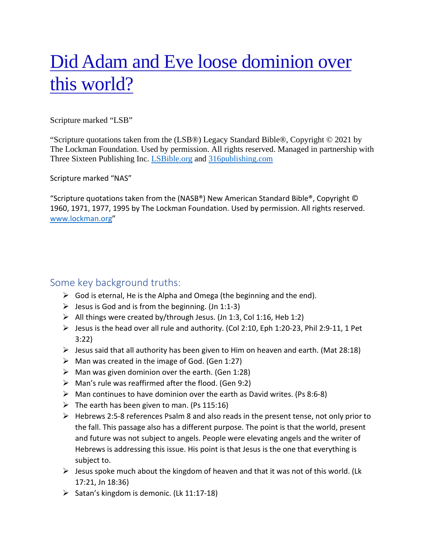# Did Adam and Eve loose dominion over this world?

Scripture marked "LSB"

"Scripture quotations taken from the (LSB®) Legacy Standard Bible®, Copyright © 2021 by The Lockman Foundation. Used by permission. All rights reserved. Managed in partnership with Three Sixteen Publishing Inc. [LSBible.org](http://lsbible.org/) and [316publishing.com](http://316publishing.com/)

Scripture marked "NAS"

"Scripture quotations taken from the (NASB®) New American Standard Bible®, Copyright © 1960, 1971, 1977, 1995 by The Lockman Foundation. Used by permission. All rights reserved. [www.lockman.org"](https://www.lockman.org/)

## Some key background truths:

- $\triangleright$  God is eternal, He is the Alpha and Omega (the beginning and the end).
- $\triangleright$  Jesus is God and is from the beginning. (Jn 1:1-3)
- $\triangleright$  All things were created by/through Jesus. (Jn 1:3, Col 1:16, Heb 1:2)
- Jesus is the head over all rule and authority. (Col 2:10, Eph 1:20-23, Phil 2:9-11, 1 Pet 3:22)
- $\triangleright$  Jesus said that all authority has been given to Him on heaven and earth. (Mat 28:18)
- $\triangleright$  Man was created in the image of God. (Gen 1:27)
- $\triangleright$  Man was given dominion over the earth. (Gen 1:28)
- $\triangleright$  Man's rule was reaffirmed after the flood. (Gen 9:2)
- $\triangleright$  Man continues to have dominion over the earth as David writes. (Ps 8:6-8)
- $\triangleright$  The earth has been given to man. (Ps 115:16)
- $\triangleright$  Hebrews 2:5-8 references Psalm 8 and also reads in the present tense, not only prior to the fall. This passage also has a different purpose. The point is that the world, present and future was not subject to angels. People were elevating angels and the writer of Hebrews is addressing this issue. His point is that Jesus is the one that everything is subject to.
- $\triangleright$  Jesus spoke much about the kingdom of heaven and that it was not of this world. (Lk 17:21, Jn 18:36)
- $\triangleright$  Satan's kingdom is demonic. (Lk 11:17-18)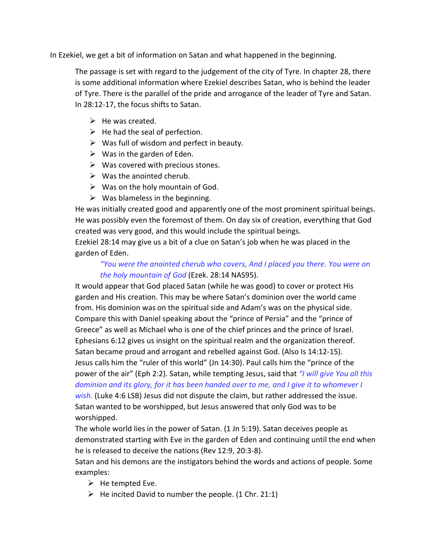In Ezekiel, we get a bit of information on Satan and what happened in the beginning.

The passage is set with regard to the judgement of the city of Tyre. In chapter 28, there is some additional information where Ezekiel describes Satan, who is behind the leader of Tyre. There is the parallel of the pride and arrogance of the leader of Tyre and Satan. In 28:12-17, the focus shifts to Satan.

- $\triangleright$  He was created.
- $\triangleright$  He had the seal of perfection.
- $\triangleright$  Was full of wisdom and perfect in beauty.
- $\triangleright$  Was in the garden of Eden.
- $\triangleright$  Was covered with precious stones.
- $\triangleright$  Was the anointed cherub.
- $\triangleright$  Was on the holy mountain of God.
- $\triangleright$  Was blameless in the beginning.

He was initially created good and apparently one of the most prominent spiritual beings. He was possibly even the foremost of them. On day six of creation, everything that God created was very good, and this would include the spiritual beings.

Ezekiel 28:14 may give us a bit of a clue on Satan's job when he was placed in the garden of Eden.

### *"You were the anointed cherub who covers, And I placed you there. You were on the holy mountain of God* (Ezek. 28:14 NAS95).

It would appear that God placed Satan (while he was good) to cover or protect His garden and His creation. This may be where Satan's dominion over the world came from. His dominion was on the spiritual side and Adam's was on the physical side. Compare this with Daniel speaking about the "prince of Persia" and the "prince of Greece" as well as Michael who is one of the chief princes and the prince of Israel. Ephesians 6:12 gives us insight on the spiritual realm and the organization thereof. Satan became proud and arrogant and rebelled against God. (Also Is 14:12-15). Jesus calls him the "ruler of this world" (Jn 14:30). Paul calls him the "prince of the power of the air" (Eph 2:2). Satan, while tempting Jesus, said that *"I will give You all this dominion and its glory, for it has been handed over to me, and I give it to whomever I wish.* (Luke 4:6 LSB) Jesus did not dispute the claim, but rather addressed the issue. Satan wanted to be worshipped, but Jesus answered that only God was to be worshipped.

The whole world lies in the power of Satan. (1 Jn 5:19). Satan deceives people as demonstrated starting with Eve in the garden of Eden and continuing until the end when he is released to deceive the nations (Rev 12:9, 20:3-8).

Satan and his demons are the instigators behind the words and actions of people. Some examples:

- $\triangleright$  He tempted Eve.
- $\triangleright$  He incited David to number the people. (1 Chr. 21:1)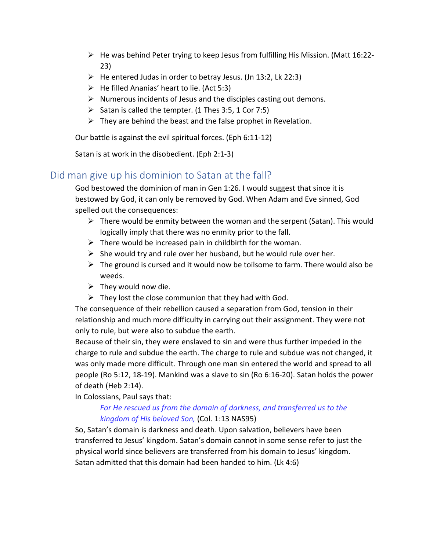- $\triangleright$  He was behind Peter trying to keep Jesus from fulfilling His Mission. (Matt 16:22-23)
- $\triangleright$  He entered Judas in order to betray Jesus. (Jn 13:2, Lk 22:3)
- $\triangleright$  He filled Ananias' heart to lie. (Act 5:3)
- $\triangleright$  Numerous incidents of Jesus and the disciples casting out demons.
- Satan is called the tempter. (1 Thes 3:5, 1 Cor 7:5)
- $\triangleright$  They are behind the beast and the false prophet in Revelation.

Our battle is against the evil spiritual forces. (Eph 6:11-12)

Satan is at work in the disobedient. (Eph 2:1-3)

## Did man give up his dominion to Satan at the fall?

God bestowed the dominion of man in Gen 1:26. I would suggest that since it is bestowed by God, it can only be removed by God. When Adam and Eve sinned, God spelled out the consequences:

- $\triangleright$  There would be enmity between the woman and the serpent (Satan). This would logically imply that there was no enmity prior to the fall.
- $\triangleright$  There would be increased pain in childbirth for the woman.
- $\triangleright$  She would try and rule over her husband, but he would rule over her.
- $\triangleright$  The ground is cursed and it would now be toilsome to farm. There would also be weeds.
- $\triangleright$  They would now die.
- $\triangleright$  They lost the close communion that they had with God.

The consequence of their rebellion caused a separation from God, tension in their relationship and much more difficulty in carrying out their assignment. They were not only to rule, but were also to subdue the earth.

Because of their sin, they were enslaved to sin and were thus further impeded in the charge to rule and subdue the earth. The charge to rule and subdue was not changed, it was only made more difficult. Through one man sin entered the world and spread to all people (Ro 5:12, 18-19). Mankind was a slave to sin (Ro 6:16-20). Satan holds the power of death (Heb 2:14).

In Colossians, Paul says that:

#### *For He rescued us from the domain of darkness, and transferred us to the kingdom of His beloved Son,* (Col. 1:13 NAS95)

So, Satan's domain is darkness and death. Upon salvation, believers have been transferred to Jesus' kingdom. Satan's domain cannot in some sense refer to just the physical world since believers are transferred from his domain to Jesus' kingdom. Satan admitted that this domain had been handed to him. (Lk 4:6)